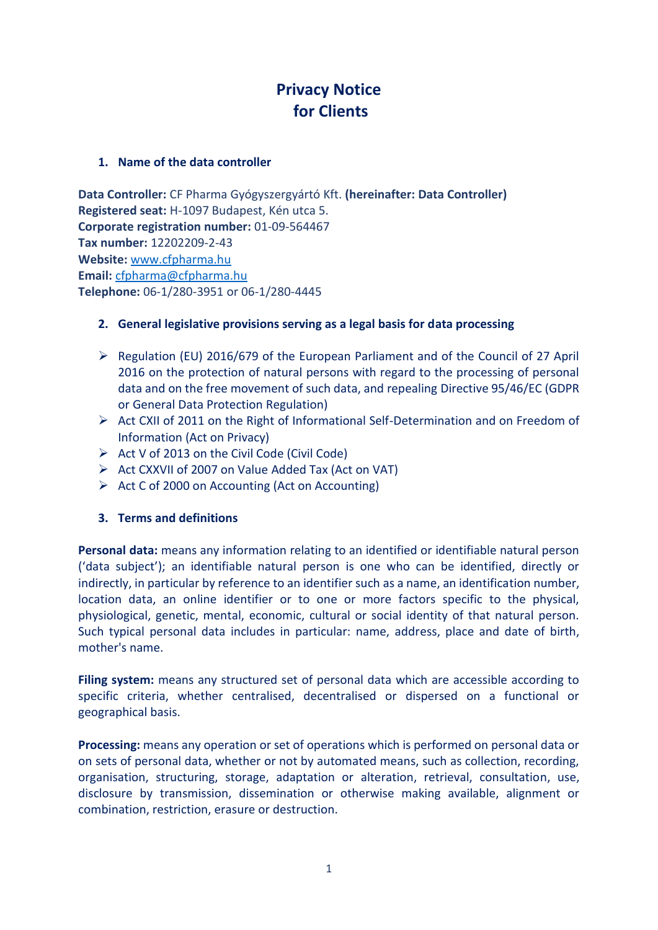# **Privacy Notice for Clients**

#### **1. Name of the data controller**

**Data Controller:** CF Pharma Gyógyszergyártó Kft. **(hereinafter: Data Controller) Registered seat:** H-1097 Budapest, Kén utca 5. **Corporate registration number:** 01-09-564467 **Tax number:** 12202209-2-43 **Website:** [www.cfpharma.hu](http://www.cfpharma.hu/) **Email:** [cfpharma@cfpharma.hu](mailto:cfpharma@cfpharma.hu) **Telephone:** 06-1/280-3951 or 06-1/280-4445

# **2. General legislative provisions serving as a legal basis for data processing**

- ➢ Regulation (EU) 2016/679 of the European Parliament and of the Council of 27 April 2016 on the protection of natural persons with regard to the processing of personal data and on the free movement of such data, and repealing Directive 95/46/EC (GDPR or General Data Protection Regulation)
- $\triangleright$  Act CXII of 2011 on the Right of Informational Self-Determination and on Freedom of Information (Act on Privacy)
- $\triangleright$  Act V of 2013 on the Civil Code (Civil Code)
- ➢ Act CXXVII of 2007 on Value Added Tax (Act on VAT)
- ➢ Act C of 2000 on Accounting (Act on Accounting)

## **3. Terms and definitions**

**Personal data:** means any information relating to an identified or identifiable natural person ('data subject'); an identifiable natural person is one who can be identified, directly or indirectly, in particular by reference to an identifier such as a name, an identification number, location data, an online identifier or to one or more factors specific to the physical, physiological, genetic, mental, economic, cultural or social identity of that natural person. Such typical personal data includes in particular: name, address, place and date of birth, mother's name.

**Filing system:** means any structured set of personal data which are accessible according to specific criteria, whether centralised, decentralised or dispersed on a functional or geographical basis.

**Processing:** means any operation or set of operations which is performed on personal data or on sets of personal data, whether or not by automated means, such as collection, recording, organisation, structuring, storage, adaptation or alteration, retrieval, consultation, use, disclosure by transmission, dissemination or otherwise making available, alignment or combination, restriction, erasure or destruction.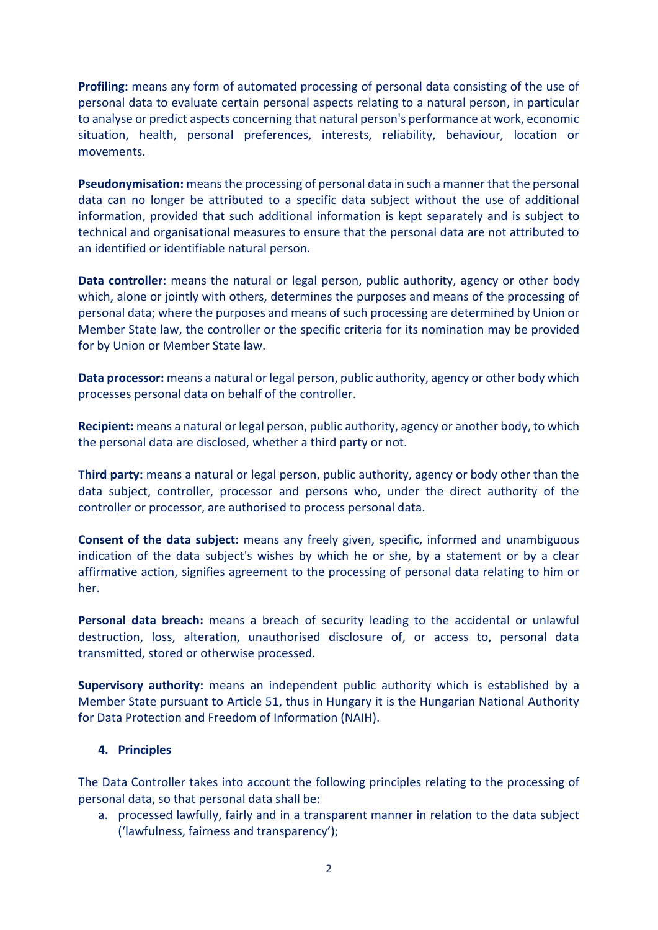**Profiling:** means any form of automated processing of personal data consisting of the use of personal data to evaluate certain personal aspects relating to a natural person, in particular to analyse or predict aspects concerning that natural person's performance at work, economic situation, health, personal preferences, interests, reliability, behaviour, location or movements.

**Pseudonymisation:** means the processing of personal data in such a manner that the personal data can no longer be attributed to a specific data subject without the use of additional information, provided that such additional information is kept separately and is subject to technical and organisational measures to ensure that the personal data are not attributed to an identified or identifiable natural person.

**Data controller:** means the natural or legal person, public authority, agency or other body which, alone or jointly with others, determines the purposes and means of the processing of personal data; where the purposes and means of such processing are determined by Union or Member State law, the controller or the specific criteria for its nomination may be provided for by Union or Member State law.

**Data processor:** means a natural or legal person, public authority, agency or other body which processes personal data on behalf of the controller.

**Recipient:** means a natural or legal person, public authority, agency or another body, to which the personal data are disclosed, whether a third party or not.

**Third party:** means a natural or legal person, public authority, agency or body other than the data subject, controller, processor and persons who, under the direct authority of the controller or processor, are authorised to process personal data.

**Consent of the data subject:** means any freely given, specific, informed and unambiguous indication of the data subject's wishes by which he or she, by a statement or by a clear affirmative action, signifies agreement to the processing of personal data relating to him or her.

**Personal data breach:** means a breach of security leading to the accidental or unlawful destruction, loss, alteration, unauthorised disclosure of, or access to, personal data transmitted, stored or otherwise processed.

**Supervisory authority:** means an independent public authority which is established by a Member State pursuant to Article 51, thus in Hungary it is the Hungarian National Authority for Data Protection and Freedom of Information (NAIH).

#### **4. Principles**

The Data Controller takes into account the following principles relating to the processing of personal data, so that personal data shall be:

a. processed lawfully, fairly and in a transparent manner in relation to the data subject ('lawfulness, fairness and transparency');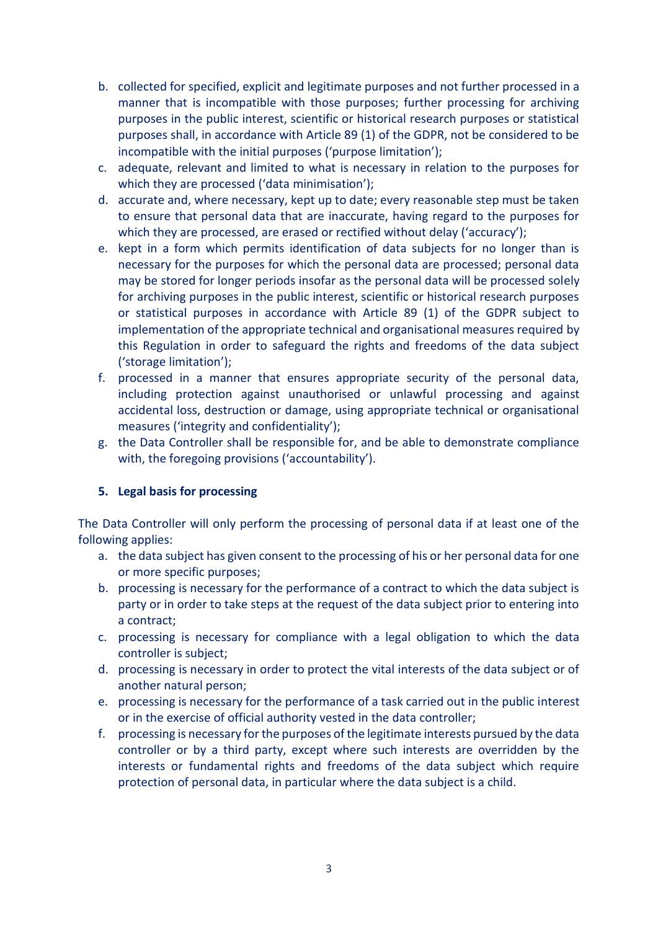- b. collected for specified, explicit and legitimate purposes and not further processed in a manner that is incompatible with those purposes; further processing for archiving purposes in the public interest, scientific or historical research purposes or statistical purposes shall, in accordance with Article 89 (1) of the GDPR, not be considered to be incompatible with the initial purposes ('purpose limitation');
- c. adequate, relevant and limited to what is necessary in relation to the purposes for which they are processed ('data minimisation');
- d. accurate and, where necessary, kept up to date; every reasonable step must be taken to ensure that personal data that are inaccurate, having regard to the purposes for which they are processed, are erased or rectified without delay ('accuracy');
- e. kept in a form which permits identification of data subjects for no longer than is necessary for the purposes for which the personal data are processed; personal data may be stored for longer periods insofar as the personal data will be processed solely for archiving purposes in the public interest, scientific or historical research purposes or statistical purposes in accordance with Article 89 (1) of the GDPR subject to implementation of the appropriate technical and organisational measures required by this Regulation in order to safeguard the rights and freedoms of the data subject ('storage limitation');
- f. processed in a manner that ensures appropriate security of the personal data, including protection against unauthorised or unlawful processing and against accidental loss, destruction or damage, using appropriate technical or organisational measures ('integrity and confidentiality');
- g. the Data Controller shall be responsible for, and be able to demonstrate compliance with, the foregoing provisions ('accountability').

## **5. Legal basis for processing**

The Data Controller will only perform the processing of personal data if at least one of the following applies:

- a. the data subject has given consent to the processing of his or her personal data for one or more specific purposes;
- b. processing is necessary for the performance of a contract to which the data subject is party or in order to take steps at the request of the data subject prior to entering into a contract;
- c. processing is necessary for compliance with a legal obligation to which the data controller is subject;
- d. processing is necessary in order to protect the vital interests of the data subject or of another natural person;
- e. processing is necessary for the performance of a task carried out in the public interest or in the exercise of official authority vested in the data controller;
- f. processing is necessary for the purposes of the legitimate interests pursued by the data controller or by a third party, except where such interests are overridden by the interests or fundamental rights and freedoms of the data subject which require protection of personal data, in particular where the data subject is a child.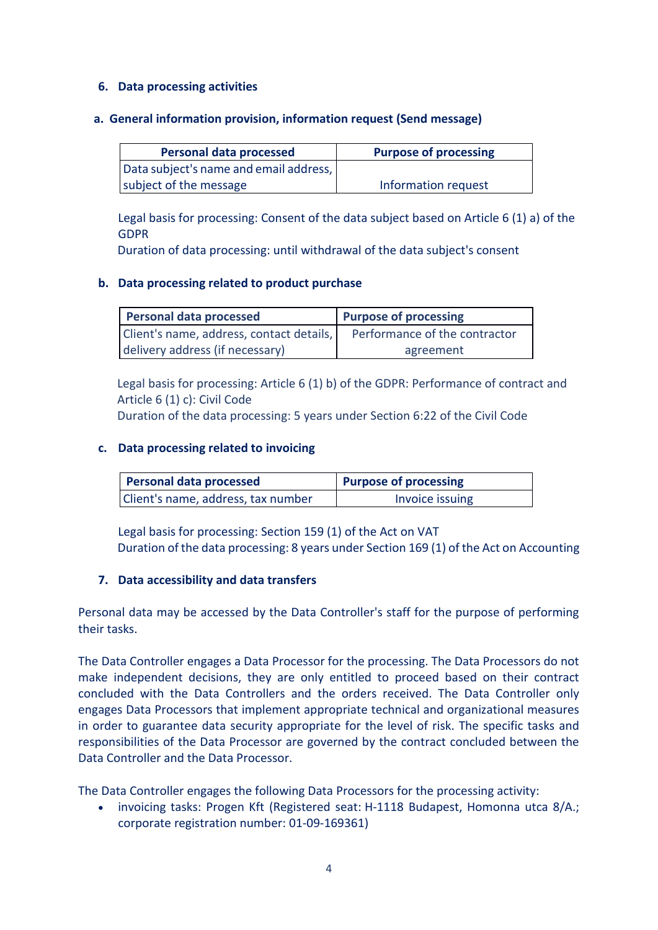#### **6. Data processing activities**

#### **a. General information provision, information request (Send message)**

| <b>Personal data processed</b>         | <b>Purpose of processing</b> |
|----------------------------------------|------------------------------|
| Data subject's name and email address, |                              |
| subject of the message                 | Information request          |

Legal basis for processing: Consent of the data subject based on Article 6 (1) a) of the **GDPR** 

Duration of data processing: until withdrawal of the data subject's consent

#### **b. Data processing related to product purchase**

| <b>Personal data processed</b>                                         | <b>Purpose of processing</b> |
|------------------------------------------------------------------------|------------------------------|
| Client's name, address, contact details, Performance of the contractor |                              |
| delivery address (if necessary)                                        | agreement                    |

Legal basis for processing: Article 6 (1) b) of the GDPR: Performance of contract and Article 6 (1) c): Civil Code

Duration of the data processing: 5 years under Section 6:22 of the Civil Code

#### **c. Data processing related to invoicing**

| Personal data processed            | <b>Purpose of processing</b> |
|------------------------------------|------------------------------|
| Client's name, address, tax number | Invoice issuing              |

Legal basis for processing: Section 159 (1) of the Act on VAT Duration of the data processing: 8 years under Section 169 (1) of the Act on Accounting

## **7. Data accessibility and data transfers**

Personal data may be accessed by the Data Controller's staff for the purpose of performing their tasks.

The Data Controller engages a Data Processor for the processing. The Data Processors do not make independent decisions, they are only entitled to proceed based on their contract concluded with the Data Controllers and the orders received. The Data Controller only engages Data Processors that implement appropriate technical and organizational measures in order to guarantee data security appropriate for the level of risk. The specific tasks and responsibilities of the Data Processor are governed by the contract concluded between the Data Controller and the Data Processor.

The Data Controller engages the following Data Processors for the processing activity:

• invoicing tasks: Progen Kft (Registered seat: H-1118 Budapest, Homonna utca 8/A.; corporate registration number: 01-09-169361)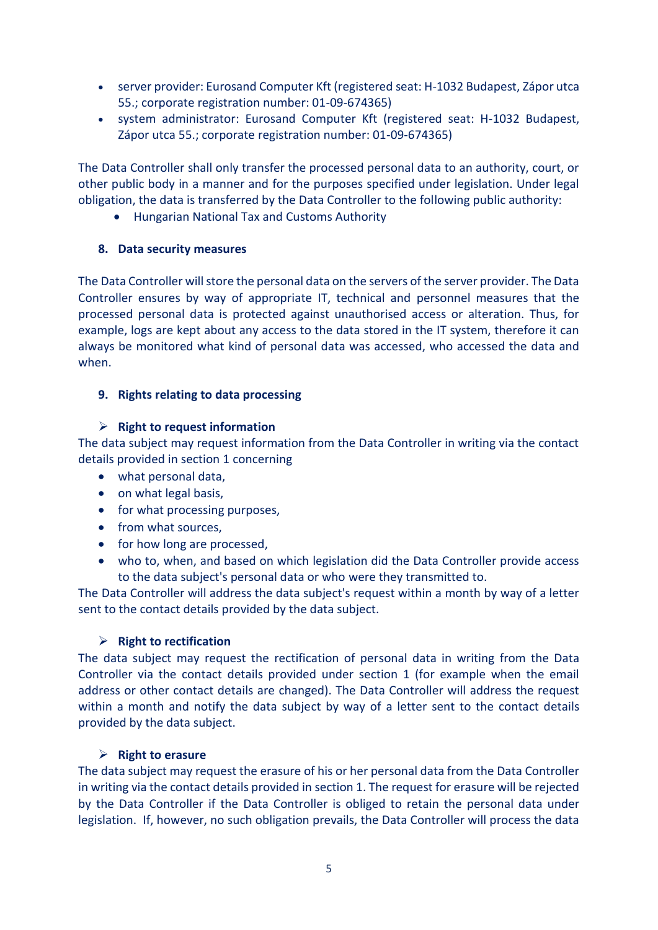- server provider: Eurosand Computer Kft (registered seat: H-1032 Budapest, Zápor utca 55.; corporate registration number: 01-09-674365)
- system administrator: Eurosand Computer Kft (registered seat: H-1032 Budapest, Zápor utca 55.; corporate registration number: 01-09-674365)

The Data Controller shall only transfer the processed personal data to an authority, court, or other public body in a manner and for the purposes specified under legislation. Under legal obligation, the data is transferred by the Data Controller to the following public authority:

• Hungarian National Tax and Customs Authority

## **8. Data security measures**

The Data Controller will store the personal data on the servers of the server provider. The Data Controller ensures by way of appropriate IT, technical and personnel measures that the processed personal data is protected against unauthorised access or alteration. Thus, for example, logs are kept about any access to the data stored in the IT system, therefore it can always be monitored what kind of personal data was accessed, who accessed the data and when.

# **9. Rights relating to data processing**

# ➢ **Right to request information**

The data subject may request information from the Data Controller in writing via the contact details provided in section 1 concerning

- what personal data,
- on what legal basis,
- for what processing purposes,
- from what sources,
- for how long are processed,
- who to, when, and based on which legislation did the Data Controller provide access to the data subject's personal data or who were they transmitted to.

The Data Controller will address the data subject's request within a month by way of a letter sent to the contact details provided by the data subject.

## ➢ **Right to rectification**

The data subject may request the rectification of personal data in writing from the Data Controller via the contact details provided under section 1 (for example when the email address or other contact details are changed). The Data Controller will address the request within a month and notify the data subject by way of a letter sent to the contact details provided by the data subject.

## ➢ **Right to erasure**

The data subject may request the erasure of his or her personal data from the Data Controller in writing via the contact details provided in section 1. The request for erasure will be rejected by the Data Controller if the Data Controller is obliged to retain the personal data under legislation. If, however, no such obligation prevails, the Data Controller will process the data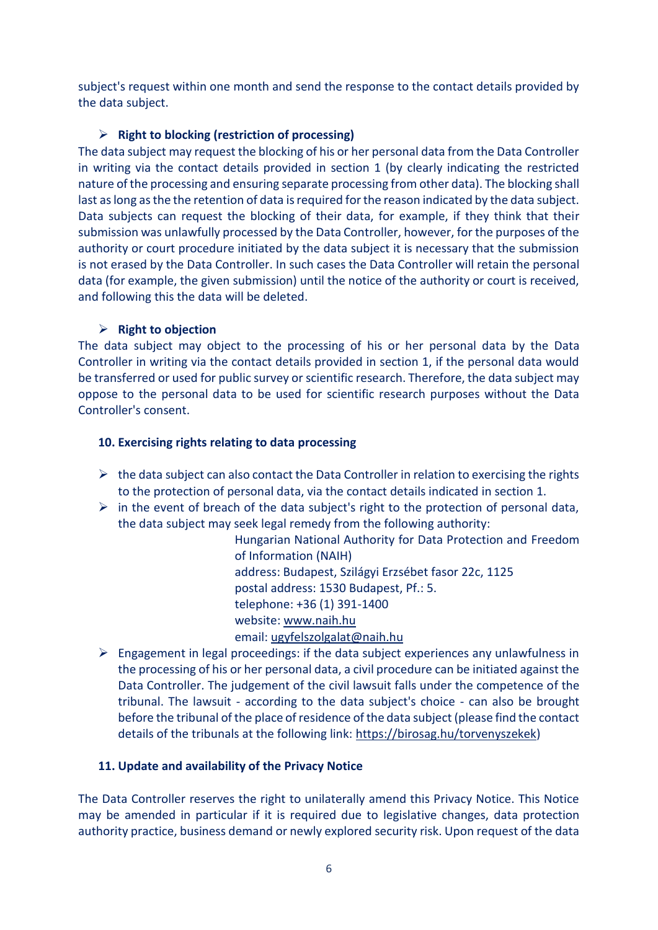subject's request within one month and send the response to the contact details provided by the data subject.

## ➢ **Right to blocking (restriction of processing)**

The data subject may request the blocking of his or her personal data from the Data Controller in writing via the contact details provided in section 1 (by clearly indicating the restricted nature of the processing and ensuring separate processing from other data). The blocking shall last as long as the the retention of data is required for the reason indicated by the data subject. Data subjects can request the blocking of their data, for example, if they think that their submission was unlawfully processed by the Data Controller, however, for the purposes of the authority or court procedure initiated by the data subject it is necessary that the submission is not erased by the Data Controller. In such cases the Data Controller will retain the personal data (for example, the given submission) until the notice of the authority or court is received, and following this the data will be deleted.

## ➢ **Right to objection**

The data subject may object to the processing of his or her personal data by the Data Controller in writing via the contact details provided in section 1, if the personal data would be transferred or used for public survey or scientific research. Therefore, the data subject may oppose to the personal data to be used for scientific research purposes without the Data Controller's consent.

#### **10. Exercising rights relating to data processing**

- $\triangleright$  the data subject can also contact the Data Controller in relation to exercising the rights to the protection of personal data, via the contact details indicated in section 1.
- $\triangleright$  in the event of breach of the data subject's right to the protection of personal data, the data subject may seek legal remedy from the following authority:

Hungarian National Authority for Data Protection and Freedom of Information (NAIH) address: Budapest, Szilágyi Erzsébet fasor 22c, 1125 postal address: 1530 Budapest, Pf.: 5. telephone: +36 (1) 391-1400 website[: www.naih.hu](http://www.naih.hu/) email: [ugyfelszolgalat@naih.hu](mailto:ugyfelszolgalat@naih.hu) 

 $\triangleright$  Engagement in legal proceedings: if the data subject experiences any unlawfulness in the processing of his or her personal data, a civil procedure can be initiated against the Data Controller. The judgement of the civil lawsuit falls under the competence of the tribunal. The lawsuit - according to the data subject's choice - can also be brought before the tribunal of the place of residence of the data subject (please find the contact details of the tribunals at the following link: [https://birosag.hu/torvenyszekek\)](https://birosag.hu/torvenyszekek)

## **11. Update and availability of the Privacy Notice**

The Data Controller reserves the right to unilaterally amend this Privacy Notice. This Notice may be amended in particular if it is required due to legislative changes, data protection authority practice, business demand or newly explored security risk. Upon request of the data